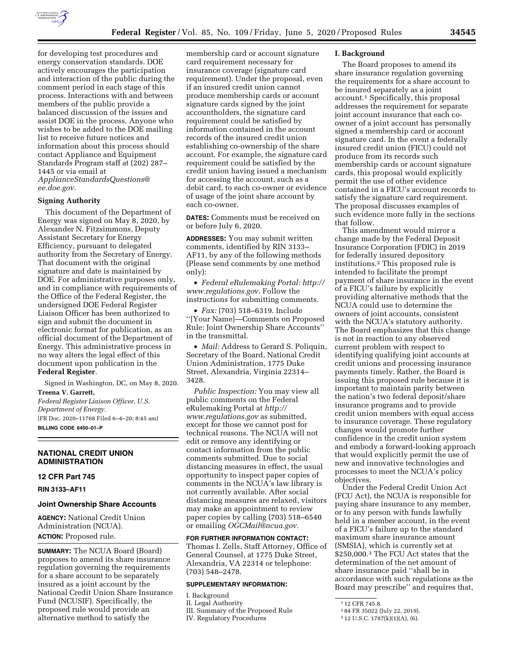

for developing test procedures and energy conservation standards. DOE actively encourages the participation and interaction of the public during the comment period in each stage of this process. Interactions with and between members of the public provide a balanced discussion of the issues and assist DOE in the process. Anyone who wishes to be added to the DOE mailing list to receive future notices and information about this process should contact Appliance and Equipment Standards Program staff at (202) 287– 1445 or via email at *[ApplianceStandardsQuestions@](mailto:ApplianceStandardsQuestions@ee.doe.gov) [ee.doe.gov.](mailto:ApplianceStandardsQuestions@ee.doe.gov)* 

#### **Signing Authority**

This document of the Department of Energy was signed on May 8, 2020, by Alexander N. Fitzsimmons, Deputy Assistant Secretary for Energy Efficiency, pursuant to delegated authority from the Secretary of Energy. That document with the original signature and date is maintained by DOE. For administrative purposes only, and in compliance with requirements of the Office of the Federal Register, the undersigned DOE Federal Register Liaison Officer has been authorized to sign and submit the document in electronic format for publication, as an official document of the Department of Energy. This administrative process in no way alters the legal effect of this document upon publication in the **Federal Register**.

Signed in Washington, DC, on May 8, 2020.

**Treena V. Garrett,** 

*Federal Register Liaison Officer, U.S. Department of Energy.*  [FR Doc. 2020–11768 Filed 6–4–20; 8:45 am] **BILLING CODE 6450–01–P** 

### **NATIONAL CREDIT UNION ADMINISTRATION**

#### **12 CFR Part 745**

**RIN 3133–AF11** 

#### **Joint Ownership Share Accounts**

**AGENCY:** National Credit Union Administration (NCUA). **ACTION:** Proposed rule.

**SUMMARY:** The NCUA Board (Board) proposes to amend its share insurance regulation governing the requirements for a share account to be separately insured as a joint account by the National Credit Union Share Insurance Fund (NCUSIF). Specifically, the proposed rule would provide an alternative method to satisfy the

membership card or account signature card requirement necessary for insurance coverage (signature card requirement). Under the proposal, even if an insured credit union cannot produce membership cards or account signature cards signed by the joint accountholders, the signature card requirement could be satisfied by information contained in the account records of the insured credit union establishing co-ownership of the share account. For example, the signature card requirement could be satisfied by the credit union having issued a mechanism for accessing the account, such as a debit card, to each co-owner or evidence of usage of the joint share account by each co-owner.

**DATES:** Comments must be received on or before July 6, 2020.

**ADDRESSES:** You may submit written comments, identified by RIN 3133– AF11, by any of the following methods (Please send comments by one method only):

• *Federal eRulemaking Portal: [http://](http://www.regulations.gov)  [www.regulations.gov.](http://www.regulations.gov)* Follow the instructions for submitting comments.

• *Fax:* (703) 518–6319. Include ''[Your Name]—Comments on Proposed Rule: Joint Ownership Share Accounts'' in the transmittal.

• *Mail:* Address to Gerard S. Poliquin, Secretary of the Board, National Credit Union Administration, 1775 Duke Street, Alexandria, Virginia 22314– 3428.

*Public Inspection:* You may view all public comments on the Federal eRulemaking Portal at *[http://](http://www.regulations.gov) [www.regulations.gov](http://www.regulations.gov)* as submitted, except for those we cannot post for technical reasons. The NCUA will not edit or remove any identifying or contact information from the public comments submitted. Due to social distancing measures in effect, the usual opportunity to inspect paper copies of comments in the NCUA's law library is not currently available. After social distancing measures are relaxed, visitors may make an appointment to review paper copies by calling (703) 518–6540 or emailing *[OGCMail@ncua.gov.](mailto:OGCMail@ncua.gov)* 

**FOR FURTHER INFORMATION CONTACT:**  Thomas I. Zells, Staff Attorney, Office of General Counsel, at 1775 Duke Street, Alexandria, VA 22314 or telephone: (703) 548–2478.

#### **SUPPLEMENTARY INFORMATION:**

I. Background II. Legal Authority

III. Summary of the Proposed Rule

IV. Regulatory Procedures

#### **I. Background**

The Board proposes to amend its share insurance regulation governing the requirements for a share account to be insured separately as a joint account.1 Specifically, this proposal addresses the requirement for separate joint account insurance that each coowner of a joint account has personally signed a membership card or account signature card. In the event a federally insured credit union (FICU) could not produce from its records such membership cards or account signature cards, this proposal would explicitly permit the use of other evidence contained in a FICU's account records to satisfy the signature card requirement. The proposal discusses examples of such evidence more fully in the sections that follow.

This amendment would mirror a change made by the Federal Deposit Insurance Corporation (FDIC) in 2019 for federally insured depository institutions.2 This proposed rule is intended to facilitate the prompt payment of share insurance in the event of a FICU's failure by explicitly providing alternative methods that the NCUA could use to determine the owners of joint accounts, consistent with the NCUA's statutory authority. The Board emphasizes that this change is not in reaction to any observed current problem with respect to identifying qualifying joint accounts at credit unions and processing insurance payments timely. Rather, the Board is issuing this proposed rule because it is important to maintain parity between the nation's two federal deposit/share insurance programs and to provide credit union members with equal access to insurance coverage. These regulatory changes would promote further confidence in the credit union system and embody a forward-looking approach that would explicitly permit the use of new and innovative technologies and processes to meet the NCUA's policy objectives.

Under the Federal Credit Union Act (FCU Act), the NCUA is responsible for paying share insurance to any member, or to any person with funds lawfully held in a member account, in the event of a FICU's failure up to the standard maximum share insurance amount (SMSIA), which is currently set at \$250,000.3 The FCU Act states that the determination of the net amount of share insurance paid ''shall be in accordance with such regulations as the Board may prescribe'' and requires that,

<sup>1</sup> 12 CFR 745.8.

<sup>2</sup> 84 FR 35022 (July 22, 2019).

<sup>3</sup> 12 U.S.C. 1787(k)(1)(A), (6).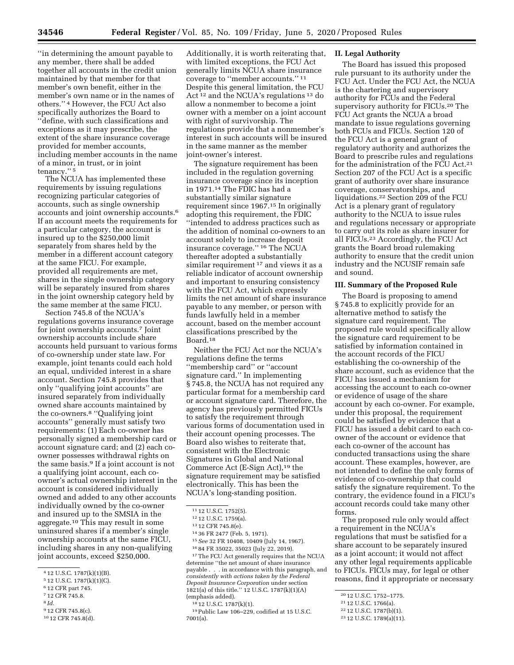''in determining the amount payable to any member, there shall be added together all accounts in the credit union maintained by that member for that member's own benefit, either in the member's own name or in the names of others.'' 4 However, the FCU Act also specifically authorizes the Board to ''define, with such classifications and exceptions as it may prescribe, the extent of the share insurance coverage provided for member accounts, including member accounts in the name of a minor, in trust, or in joint tenancy.'' 5

The NCUA has implemented these requirements by issuing regulations recognizing particular categories of accounts, such as single ownership accounts and joint ownership accounts.6 If an account meets the requirements for a particular category, the account is insured up to the \$250,000 limit separately from shares held by the member in a different account category at the same FICU. For example, provided all requirements are met, shares in the single ownership category will be separately insured from shares in the joint ownership category held by the same member at the same FICU.

Section 745.8 of the NCUA's regulations governs insurance coverage for joint ownership accounts.7 Joint ownership accounts include share accounts held pursuant to various forms of co-ownership under state law. For example, joint tenants could each hold an equal, undivided interest in a share account. Section 745.8 provides that only ''qualifying joint accounts'' are insured separately from individually owned share accounts maintained by the co-owners.8 ''Qualifying joint accounts'' generally must satisfy two requirements: (1) Each co-owner has personally signed a membership card or account signature card; and (2) each coowner possesses withdrawal rights on the same basis.9 If a joint account is not a qualifying joint account, each coowner's actual ownership interest in the account is considered individually owned and added to any other accounts individually owned by the co-owner and insured up to the SMSIA in the aggregate.10 This may result in some uninsured shares if a member's single ownership accounts at the same FICU, including shares in any non-qualifying joint accounts, exceed \$250,000.

- 6 12 CFR part 745.
- 7 12 CFR 745.8.
- 8 *Id.*
- 9 12 CFR 745.8(c).
- 10 12 CFR 745.8(d).

Additionally, it is worth reiterating that, with limited exceptions, the FCU Act generally limits NCUA share insurance coverage to ''member accounts.'' 11 Despite this general limitation, the FCU Act 12 and the NCUA's regulations 13 do allow a nonmember to become a joint owner with a member on a joint account with right of survivorship. The regulations provide that a nonmember's interest in such accounts will be insured in the same manner as the member joint-owner's interest.

The signature requirement has been included in the regulation governing insurance coverage since its inception in 1971.14 The FDIC has had a substantially similar signature requirement since 1967.15 In originally adopting this requirement, the FDIC ''intended to address practices such as the addition of nominal co-owners to an account solely to increase deposit insurance coverage.'' 16 The NCUA thereafter adopted a substantially similar requirement 17 and views it as a reliable indicator of account ownership and important to ensuring consistency with the FCU Act, which expressly limits the net amount of share insurance payable to any member, or person with funds lawfully held in a member account, based on the member account classifications prescribed by the Board.18

Neither the FCU Act nor the NCUA's regulations define the terms ''membership card'' or ''account signature card.'' In implementing § 745.8, the NCUA has not required any particular format for a membership card or account signature card. Therefore, the agency has previously permitted FICUs to satisfy the requirement through various forms of documentation used in their account opening processes. The Board also wishes to reiterate that, consistent with the Electronic Signatures in Global and National Commerce Act (E-Sign Act),19 the signature requirement may be satisfied electronically. This has been the NCUA's long-standing position.

16 84 FR 35022, 35023 (July 22, 2019).

17The FCU Act generally requires that the NCUA determine ''the net amount of share insurance payable . . . in accordance with this paragraph, and *consistently with actions taken by the Federal Deposit Insurance Corporation* under section 1821(a) of this title.'' 12 U.S.C. 1787(k)(1)(A) (emphasis added).

#### **II. Legal Authority**

The Board has issued this proposed rule pursuant to its authority under the FCU Act. Under the FCU Act, the NCUA is the chartering and supervisory authority for FCUs and the Federal supervisory authority for FICUs.20 The FCU Act grants the NCUA a broad mandate to issue regulations governing both FCUs and FICUs. Section 120 of the FCU Act is a general grant of regulatory authority and authorizes the Board to prescribe rules and regulations for the administration of the FCU Act.<sup>21</sup> Section 207 of the FCU Act is a specific grant of authority over share insurance coverage, conservatorships, and liquidations.22 Section 209 of the FCU Act is a plenary grant of regulatory authority to the NCUA to issue rules and regulations necessary or appropriate to carry out its role as share insurer for all FICUs.23 Accordingly, the FCU Act grants the Board broad rulemaking authority to ensure that the credit union industry and the NCUSIF remain safe and sound.

#### **III. Summary of the Proposed Rule**

The Board is proposing to amend § 745.8 to explicitly provide for an alternative method to satisfy the signature card requirement. The proposed rule would specifically allow the signature card requirement to be satisfied by information contained in the account records of the FICU establishing the co-ownership of the share account, such as evidence that the FICU has issued a mechanism for accessing the account to each co-owner or evidence of usage of the share account by each co-owner. For example, under this proposal, the requirement could be satisfied by evidence that a FICU has issued a debit card to each coowner of the account or evidence that each co-owner of the account has conducted transactions using the share account. These examples, however, are not intended to define the only forms of evidence of co-ownership that could satisfy the signature requirement. To the contrary, the evidence found in a FICU's account records could take many other forms.

The proposed rule only would affect a requirement in the NCUA's regulations that must be satisfied for a share account to be separately insured as a joint account; it would not affect any other legal requirements applicable to FICUs. FICUs may, for legal or other reasons, find it appropriate or necessary

<sup>4</sup> 12 U.S.C. 1787(k)(1)(B).

<sup>5</sup> 12 U.S.C. 1787(k)(1)(C).

<sup>11</sup> 12 U.S.C. 1752(5).

<sup>12</sup> 12 U.S.C. 1759(a).

<sup>13</sup> 12 CFR 745.8(e).

<sup>14</sup> 36 FR 2477 (Feb. 5, 1971).

<sup>15</sup>*See* 32 FR 10408, 10409 (July 14, 1967).

<sup>18</sup> 12 U.S.C. 1787(k)(1).

<sup>19</sup>Public Law 106–229, codified at 15 U.S.C. 7001(a).

<sup>20</sup> 12 U.S.C. 1752–1775.

<sup>21</sup> 12 U.S.C. 1766(a).

<sup>22</sup> 12 U.S.C. 1787(b)(1).

<sup>23</sup> 12 U.S.C. 1789(a)(11).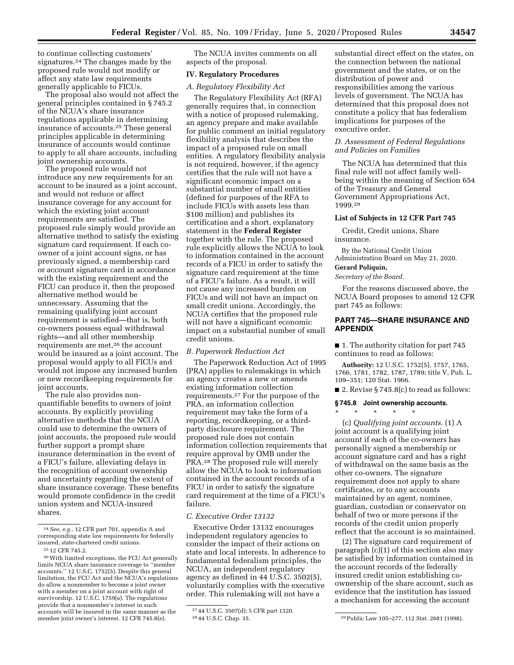to continue collecting customers' signatures.24 The changes made by the proposed rule would not modify or affect any state law requirements generally applicable to FICUs.

The proposal also would not affect the general principles contained in § 745.2 of the NCUA's share insurance regulations applicable in determining insurance of accounts.25 These general principles applicable in determining insurance of accounts would continue to apply to all share accounts, including joint ownership accounts.

The proposed rule would not introduce any new requirements for an account to be insured as a joint account, and would not reduce or affect insurance coverage for any account for which the existing joint account requirements are satisfied. The proposed rule simply would provide an alternative method to satisfy the existing signature card requirement. If each coowner of a joint account signs, or has previously signed, a membership card or account signature card in accordance with the existing requirement and the FICU can produce it, then the proposed alternative method would be unnecessary. Assuming that the remaining qualifying joint account requirement is satisfied—that is, both co-owners possess equal withdrawal rights—and all other membership requirements are met,<sup>26</sup> the account would be insured as a joint account. The proposal would apply to all FICUs and would not impose any increased burden or new recordkeeping requirements for joint accounts.

The rule also provides nonquantifiable benefits to owners of joint accounts. By explicitly providing alternative methods that the NCUA could use to determine the owners of joint accounts, the proposed rule would further support a prompt share insurance determination in the event of a FICU's failure, alleviating delays in the recognition of account ownership and uncertainty regarding the extent of share insurance coverage. These benefits would promote confidence in the credit union system and NCUA-insured shares.

The NCUA invites comments on all aspects of the proposal.

### **IV. Regulatory Procedures**

#### *A. Regulatory Flexibility Act*

The Regulatory Flexibility Act (RFA) generally requires that, in connection with a notice of proposed rulemaking, an agency prepare and make available for public comment an initial regulatory flexibility analysis that describes the impact of a proposed rule on small entities. A regulatory flexibility analysis is not required, however, if the agency certifies that the rule will not have a significant economic impact on a substantial number of small entities (defined for purposes of the RFA to include FICUs with assets less than \$100 million) and publishes its certification and a short, explanatory statement in the **Federal Register**  together with the rule. The proposed rule explicitly allows the NCUA to look to information contained in the account records of a FICU in order to satisfy the signature card requirement at the time of a FICU's failure. As a result, it will not cause any increased burden on FICUs and will not have an impact on small credit unions. Accordingly, the NCUA certifies that the proposed rule will not have a significant economic impact on a substantial number of small credit unions.

#### *B. Paperwork Reduction Act*

The Paperwork Reduction Act of 1995 (PRA) applies to rulemakings in which an agency creates a new or amends existing information collection requirements.27 For the purpose of the PRA, an information collection requirement may take the form of a reporting, recordkeeping, or a thirdparty disclosure requirement. The proposed rule does not contain information collection requirements that require approval by OMB under the PRA.28 The proposed rule will merely allow the NCUA to look to information contained in the account records of a FICU in order to satisfy the signature card requirement at the time of a FICU's failure.

### *C. Executive Order 13132*

Executive Order 13132 encourages independent regulatory agencies to consider the impact of their actions on state and local interests. In adherence to fundamental federalism principles, the NCUA, an independent regulatory agency as defined in 44 U.S.C. 3502(5), voluntarily complies with the executive order. This rulemaking will not have a

substantial direct effect on the states, on the connection between the national government and the states, or on the distribution of power and responsibilities among the various levels of government. The NCUA has determined that this proposal does not constitute a policy that has federalism implications for purposes of the executive order.

#### *D. Assessment of Federal Regulations and Policies on Families*

The NCUA has determined that this final rule will not affect family wellbeing within the meaning of Section 654 of the Treasury and General Government Appropriations Act, 1999.29

#### **List of Subjects in 12 CFR Part 745**

Credit, Credit unions, Share insurance.

By the National Credit Union Administration Board on May 21, 2020.

# **Gerard Poliquin,**

*Secretary of the Board.* 

For the reasons discussed above, the NCUA Board proposes to amend 12 CFR part 745 as follows:

# **PART 745—SHARE INSURANCE AND APPENDIX**

■ 1. The authority citation for part 745 continues to read as follows:

**Authority:** 12 U.S.C. 1752(5), 1757, 1765, 1766, 1781, 1782, 1787, 1789; title V, Pub. L. 109–351; 120 Stat. 1966.

■ 2. Revise § 745.8(c) to read as follows:

#### **§ 745.8 Joint ownership accounts.**

\* \* \* \* \*

(c) *Qualifying joint accounts.* (1) A joint account is a qualifying joint account if each of the co-owners has personally signed a membership or account signature card and has a right of withdrawal on the same basis as the other co-owners. The signature requirement does not apply to share certificates, or to any accounts maintained by an agent, nominee, guardian, custodian or conservator on behalf of two or more persons if the records of the credit union properly reflect that the account is so maintained.

(2) The signature card requirement of paragraph  $(c)(1)$  of this section also may be satisfied by information contained in the account records of the federally insured credit union establishing coownership of the share account, such as evidence that the institution has issued a mechanism for accessing the account

<sup>24</sup>*See, e.g.,* 12 CFR part 701, appendix A and corresponding state law requirements for federally insured, state-chartered credit unions.

<sup>25</sup> 12 CFR 745.2.

<sup>26</sup>With limited exceptions, the FCU Act generally limits NCUA share insurance coverage to ''member accounts.'' 12 U.S.C. 1752(5). Despite this general limitation, the FCU Act and the NCUA's regulations do allow a nonmember to become a joint owner with a member on a joint account with right of survivorship. 12 U.S.C. 1759(a). The regulations provide that a nonmember's interest in such accounts will be insured in the same manner as the member joint owner's interest. 12 CFR 745.8(e).

<sup>27</sup> 44 U.S.C. 3507(d); 5 CFR part 1320.

<sup>&</sup>lt;sup>29</sup> Public Law 105-277, 112 Stat. 2681 (1998).